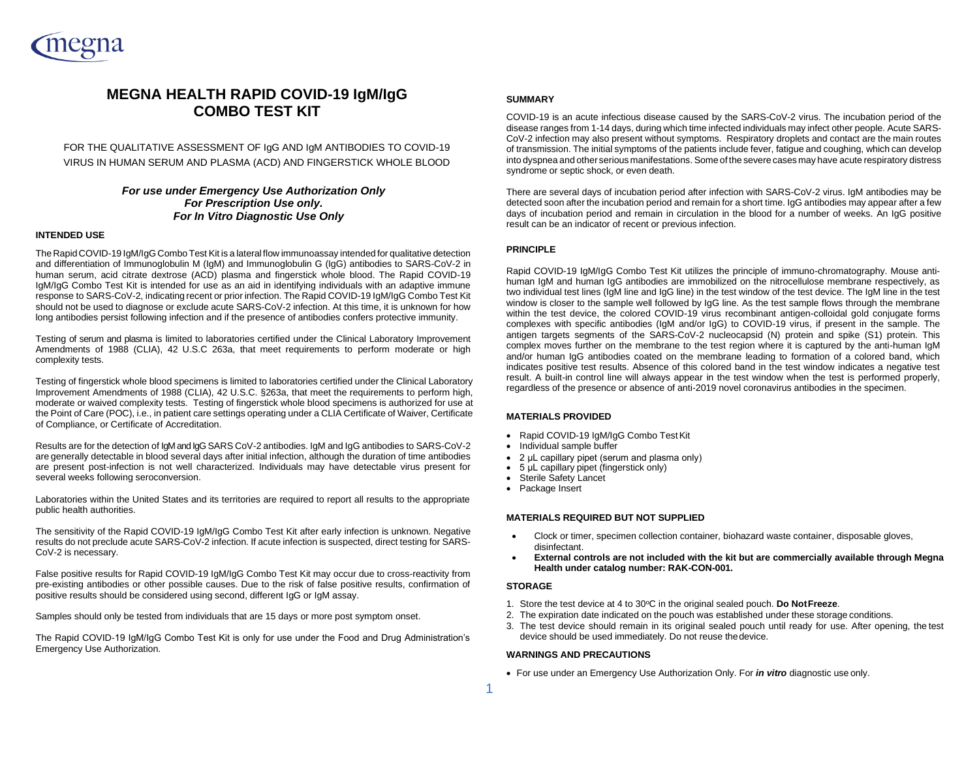

# **MEGNA HEALTH RAPID COVID-19 IgM/IgG COMBO TEST KIT**

FOR THE QUALITATIVE ASSESSMENT OF IgG AND IgM ANTIBODIES TO COVID-19 VIRUS IN HUMAN SERUM AND PLASMA (ACD) AND FINGERSTICK WHOLE BLOOD

## *For use under Emergency Use Authorization Only For Prescription Use only. For In Vitro Diagnostic Use Only*

## **INTENDED USE**

The Rapid COVID-19 IgM/IgG Combo Test Kit is a lateral flow immunoassay intended for qualitative detection and differentiation of Immunoglobulin M (IgM) and Immunoglobulin G (IgG) antibodies to SARS-CoV-2 in human serum, acid citrate dextrose (ACD) plasma and fingerstick whole blood. The Rapid COVID-19 IgM/IgG Combo Test Kit is intended for use as an aid in identifying individuals with an adaptive immune response to SARS-CoV-2, indicating recent or prior infection. The Rapid COVID-19 IgM/IgG Combo Test Kit should not be used to diagnose or exclude acute SARS-CoV-2 infection. At this time, it is unknown for how long antibodies persist following infection and if the presence of antibodies confers protective immunity.

Testing of serum and plasma is limited to laboratories certified under the Clinical Laboratory Improvement Amendments of 1988 (CLIA), 42 U.S.C 263a, that meet requirements to perform moderate or high complexity tests.

Testing of fingerstick whole blood specimens is limited to laboratories certified under the Clinical Laboratory Improvement Amendments of 1988 (CLIA), 42 U.S.C. §263a, that meet the requirements to perform high, moderate or waived complexity tests. Testing of fingerstick whole blood specimens is authorized for use at the Point of Care (POC), i.e., in patient care settings operating under a CLIA Certificate of Waiver, Certificate of Compliance, or Certificate of Accreditation.

Results are for the detection of IgM and IgG SARS CoV-2 antibodies. IgM and IgG antibodies to SARS-CoV-2 are generally detectable in blood several days after initial infection, although the duration of time antibodies are present post-infection is not well characterized. Individuals may have detectable virus present for several weeks following seroconversion.

Laboratories within the United States and its territories are required to report all results to the appropriate public health authorities.

The sensitivity of the Rapid COVID-19 IgM/IgG Combo Test Kit after early infection is unknown. Negative results do not preclude acute SARS-CoV-2 infection. If acute infection is suspected, direct testing for SARS-CoV-2 is necessary.

False positive results for Rapid COVID-19 IgM/IgG Combo Test Kit may occur due to cross-reactivity from pre-existing antibodies or other possible causes. Due to the risk of false positive results, confirmation of positive results should be considered using second, different IgG or IgM assay.

Samples should only be tested from individuals that are 15 days or more post symptom onset.

The Rapid COVID-19 IgM/IgG Combo Test Kit is only for use under the Food and Drug Administration's Emergency Use Authorization.

## **SUMMARY**

COVID-19 is an acute infectious disease caused by the SARS-CoV-2 virus. The incubation period of the disease ranges from 1-14 days, during which time infected individuals may infect other people. Acute SARS-CoV-2 infection may also present without symptoms. Respiratory droplets and contact are the main routes of transmission. The initial symptoms of the patients include fever, fatigue and coughing, which can develop into dyspnea and other serious manifestations. Some of the severe cases may have acute respiratory distress syndrome or septic shock, or even death.

There are several days of incubation period after infection with SARS-CoV-2 virus. IgM antibodies may be detected soon after the incubation period and remain for a short time. IgG antibodies may appear after a few days of incubation period and remain in circulation in the blood for a number of weeks. An IgG positive result can be an indicator of recent or previous infection.

## **PRINCIPLE**

Rapid COVID-19 IgM/IgG Combo Test Kit utilizes the principle of immuno-chromatography. Mouse antihuman IgM and human IgG antibodies are immobilized on the nitrocellulose membrane respectively, as two individual test lines (IgM line and IgG line) in the test window of the test device. The IgM line in the test window is closer to the sample well followed by IgG line. As the test sample flows through the membrane within the test device, the colored COVID-19 virus recombinant antigen-colloidal gold conjugate forms complexes with specific antibodies (IgM and/or IgG) to COVID-19 virus, if present in the sample. The antigen targets segments of the SARS-CoV-2 nucleocapsid (N) protein and spike (S1) protein. This complex moves further on the membrane to the test region where it is captured by the anti-human IgM and/or human IgG antibodies coated on the membrane leading to formation of a colored band, which indicates positive test results. Absence of this colored band in the test window indicates a negative test result. A built-in control line will always appear in the test window when the test is performed properly, regardless of the presence or absence of anti-2019 novel coronavirus antibodies in the specimen.

## **MATERIALS PROVIDED**

- Rapid COVID-19 IgM/IgG Combo TestKit
- Individual sample buffer
- 2 μL capillary pipet (serum and plasma only)
- 5 μL capillary pipet (fingerstick only)
- Sterile Safety Lancet
- Package Insert

#### **MATERIALS REQUIRED BUT NOT SUPPLIED**

- Clock or timer, specimen collection container, biohazard waste container, disposable gloves, disinfectant.
- **External controls are not included with the kit but are commercially available through Megna Health under catalog number: RAK-CON-001.**

#### **STORAGE**

- 1. Store the test device at 4 to 30<sup>o</sup>C in the original sealed pouch. **Do Not Freeze**.
- 2. The expiration date indicated on the pouch was established under these storage conditions.
- 3. The test device should remain in its original sealed pouch until ready for use. After opening, the test device should be used immediately. Do not reuse thedevice.

## **WARNINGS AND PRECAUTIONS**

• For use under an Emergency Use Authorization Only. For *in vitro* diagnostic use only.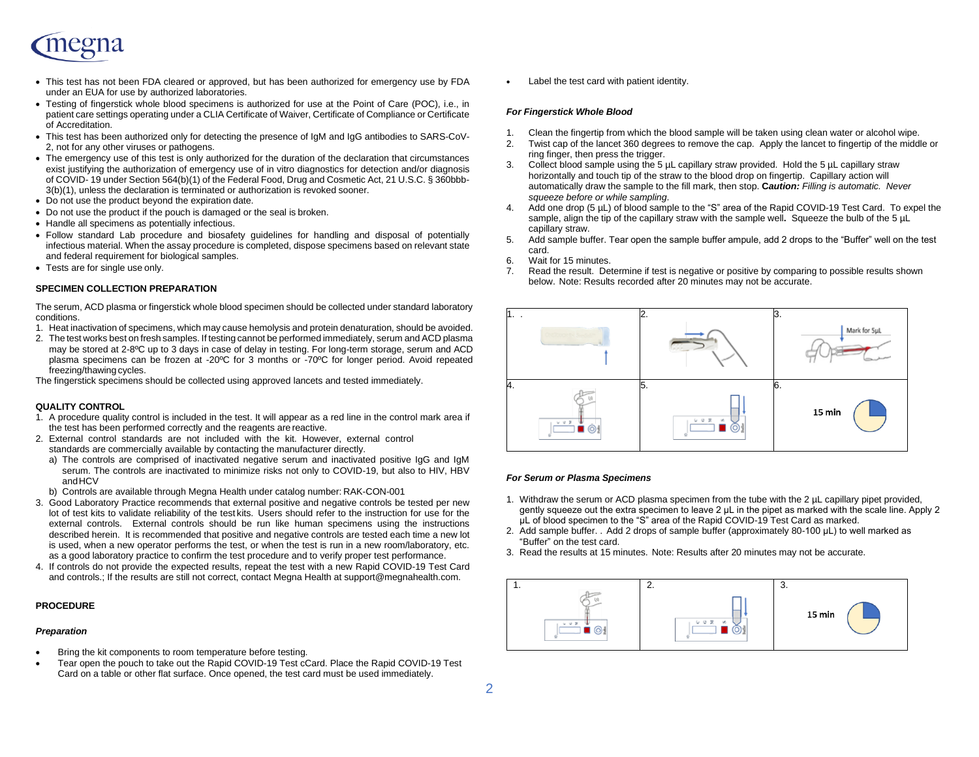

- This test has not been FDA cleared or approved, but has been authorized for emergency use by FDA under an EUA for use by authorized laboratories.
- Testing of fingerstick whole blood specimens is authorized for use at the Point of Care (POC), i.e., in patient care settings operating under a CLIA Certificate of Waiver, Certificate of Compliance or Certificate of Accreditation.
- This test has been authorized only for detecting the presence of IgM and IgG antibodies to SARS-CoV-2, not for any other viruses or pathogens.
- The emergency use of this test is only authorized for the duration of the declaration that circumstances exist justifying the authorization of emergency use of in vitro diagnostics for detection and/or diagnosis of COVID- 19 under Section 564(b)(1) of the Federal Food, Drug and Cosmetic Act, 21 U.S.C. § 360bbb-3(b)(1), unless the declaration is terminated or authorization is revoked sooner.
- Do not use the product beyond the expiration date.
- Do not use the product if the pouch is damaged or the seal is broken.
- Handle all specimens as potentially infectious.
- Follow standard Lab procedure and biosafety guidelines for handling and disposal of potentially infectious material. When the assay procedure is completed, dispose specimens based on relevant state and federal requirement for biological samples.
- Tests are for single use only.

## **SPECIMEN COLLECTION PREPARATION**

The serum, ACD plasma or fingerstick whole blood specimen should be collected under standard laboratory conditions.

- 1. Heat inactivation of specimens, which may cause hemolysis and protein denaturation, should be avoided.
- 2. The test works best on fresh samples. If testing cannot be performed immediately, serum and ACD plasma may be stored at 2-8ºC up to 3 days in case of delay in testing. For long-term storage, serum and ACD plasma specimens can be frozen at -20ºC for 3 months or -70ºC for longer period. Avoid repeated freezing/thawing cycles.

The fingerstick specimens should be collected using approved lancets and tested immediately.

## **QUALITY CONTROL**

- 1. A procedure quality control is included in the test. It will appear as a red line in the control mark area if the test has been performed correctly and the reagents are reactive.
- 2. External control standards are not included with the kit. However, external control standards are commercially available by contacting the manufacturer directly.
	- a) The controls are comprised of inactivated negative serum and inactivated positive IgG and IgM serum. The controls are inactivated to minimize risks not only to COVID-19, but also to HIV, HBV andHCV
	- b) Controls are available through Megna Health under catalog number: RAK-CON-001
- 3. Good Laboratory Practice recommends that external positive and negative controls be tested per new lot of test kits to validate reliability of the test kits. Users should refer to the instruction for use for the external controls. External controls should be run like human specimens using the instructions described herein. It is recommended that positive and negative controls are tested each time a new lot is used, when a new operator performs the test, or when the test is run in a new room/laboratory, etc. as a good laboratory practice to confirm the test procedure and to verify proper test performance.
- 4. If controls do not provide the expected results, repeat the test with a new Rapid COVID-19 Test Card and controls.; If the results are still not correct, contact Megna Health at support@megnahealth.com.

## **PROCEDURE**

#### *Preparation*

- Bring the kit components to room temperature before testing.
- Tear open the pouch to take out the Rapid COVID-19 Test cCard. Place the Rapid COVID-19 Test Card on a table or other flat surface. Once opened, the test card must be used immediately.

Label the test card with patient identity.

## *For Fingerstick Whole Blood*

- 1. Clean the fingertip from which the blood sample will be taken using clean water or alcohol wipe.
- 2. Twist cap of the lancet 360 degrees to remove the cap. Apply the lancet to fingertip of the middle or ring finger, then press the trigger.
- 3. Collect blood sample using the 5 µL capillary straw provided. Hold the 5 µL capillary straw horizontally and touch tip of the straw to the blood drop on fingertip. Capillary action will automatically draw the sample to the fill mark, then stop. **C***aution: Filling is automatic. Never squeeze before or while sampling*.
- 4. Add one drop (5 µL) of blood sample to the "S" area of the Rapid COVID-19 Test Card. To expel the sample, align the tip of the capillary straw with the sample well**.** Squeeze the bulb of the 5 µL capillary straw.
- 5. Add sample buffer. Tear open the sample buffer ampule, add 2 drops to the "Buffer" well on the test card.
- 6. Wait for 15 minutes.
- 7. Read the result. Determine if test is negative or positive by comparing to possible results shown below. Note: Results recorded after 20 minutes may not be accurate.



#### *For Serum or Plasma Specimens*

- 1. Withdraw the serum or ACD plasma specimen from the tube with the 2 uL capillary pipet provided. gently squeeze out the extra specimen to leave 2 μL in the pipet as marked with the scale line. Apply 2 μL of blood specimen to the "S" area of the Rapid COVID-19 Test Card as marked.
- 2. Add sample buffer. . Add 2 drops of sample buffer (approximately 80-100 μL) to well marked as "Buffer" on the test card.
- 3. Read the results at 15 minutes. Note: Results after 20 minutes may not be accurate.

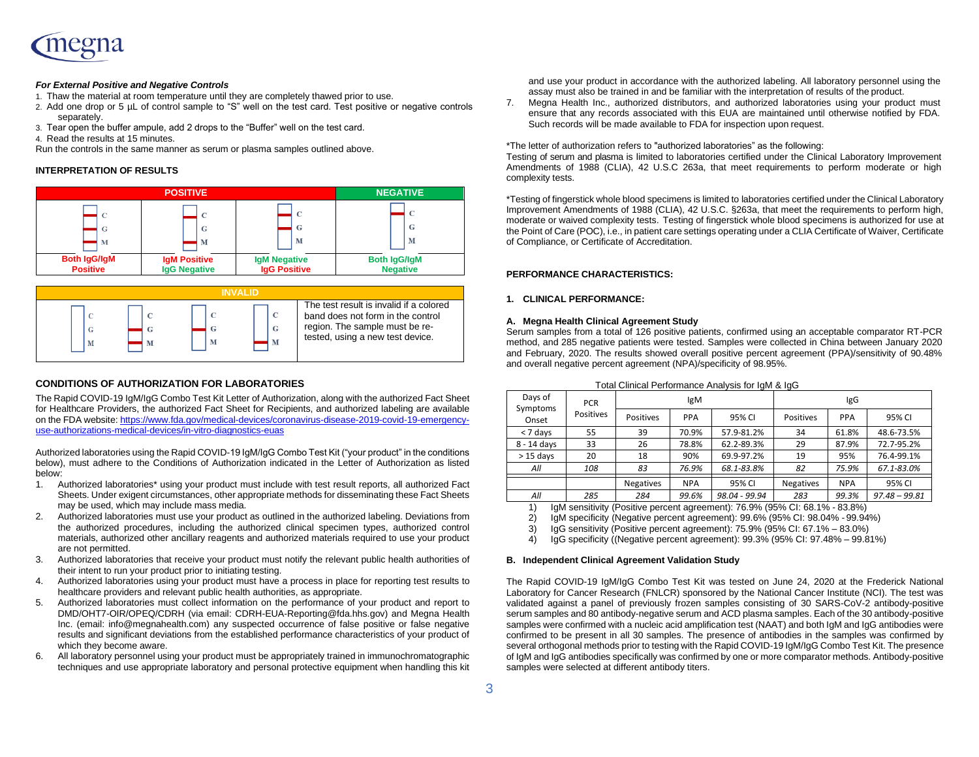

## *For External Positive and Negative Controls*

- 1. Thaw the material at room temperature until they are completely thawed prior to use.
- 2. Add one drop or 5 µL of control sample to "S" well on the test card. Test positive or negative controls separately.
- 3. Tear open the buffer ampule, add 2 drops to the "Buffer" well on the test card.
- 4. Read the results at 15 minutes.

Run the controls in the same manner as serum or plasma samples outlined above.

## **INTERPRETATION OF RESULTS**





## **CONDITIONS OF AUTHORIZATION FOR LABORATORIES**

The Rapid COVID-19 IgM/IgG Combo Test Kit Letter of Authorization, along with the authorized Fact Sheet for Healthcare Providers, the authorized Fact Sheet for Recipients, and authorized labeling are available on the FDA website[: https://www.fda.gov/medical-devices/coronavirus-disease-2019-covid-19-emergency](https://www.fda.gov/medical-devices/coronavirus-disease-2019-covid-19-emergency-use-authorizations-medical-devices/vitro-diagnostics-euas)[use-authorizations-medical-devices/in-vitro-diagnostics-euas](https://www.fda.gov/medical-devices/coronavirus-disease-2019-covid-19-emergency-use-authorizations-medical-devices/vitro-diagnostics-euas)

Authorized laboratories using the Rapid COVID-19 IgM/IgG Combo Test Kit ("your product" in the conditions below), must adhere to the Conditions of Authorization indicated in the Letter of Authorization as listed below:

- 1. Authorized laboratories\* using your product must include with test result reports, all authorized Fact Sheets. Under exigent circumstances, other appropriate methods for disseminating these Fact Sheets may be used, which may include mass media.
- 2. Authorized laboratories must use your product as outlined in the authorized labeling. Deviations from the authorized procedures, including the authorized clinical specimen types, authorized control materials, authorized other ancillary reagents and authorized materials required to use your product are not permitted.
- 3. Authorized laboratories that receive your product must notify the relevant public health authorities of their intent to run your product prior to initiating testing.
- 4. Authorized laboratories using your product must have a process in place for reporting test results to healthcare providers and relevant public health authorities, as appropriate.
- 5. Authorized laboratories must collect information on the performance of your product and report to DMD/OHT7-OIR/OPEQ/CDRH (via email: CDRH-EUA-Reporting@fda.hhs.gov) and Megna Health Inc. (email: info@megnahealth.com) any suspected occurrence of false positive or false negative results and significant deviations from the established performance characteristics of your product of which they become aware.
- 6. All laboratory personnel using your product must be appropriately trained in immunochromatographic techniques and use appropriate laboratory and personal protective equipment when handling this kit

and use your product in accordance with the authorized labeling. All laboratory personnel using the assay must also be trained in and be familiar with the interpretation of results of the product.

7. Megna Health Inc., authorized distributors, and authorized laboratories using your product must ensure that any records associated with this EUA are maintained until otherwise notified by FDA. Such records will be made available to FDA for inspection upon request.

#### \*The letter of authorization refers to "authorized laboratories" as the following:

Testing of serum and plasma is limited to laboratories certified under the Clinical Laboratory Improvement Amendments of 1988 (CLIA), 42 U.S.C 263a, that meet requirements to perform moderate or high complexity tests.

\*Testing of fingerstick whole blood specimens is limited to laboratories certified under the Clinical Laboratory Improvement Amendments of 1988 (CLIA), 42 U.S.C. §263a, that meet the requirements to perform high, moderate or waived complexity tests. Testing of fingerstick whole blood specimens is authorized for use at the Point of Care (POC), i.e., in patient care settings operating under a CLIA Certificate of Waiver, Certificate of Compliance, or Certificate of Accreditation.

## **PERFORMANCE CHARACTERISTICS:**

## **1. CLINICAL PERFORMANCE:**

#### **A. Megna Health Clinical Agreement Study**

Serum samples from a total of 126 positive patients, confirmed using an acceptable comparator RT-PCR method, and 285 negative patients were tested. Samples were collected in China between January 2020 and February, 2020. The results showed overall positive percent agreement (PPA)/sensitivity of 90.48% and overall negative percent agreement (NPA)/specificity of 98.95%.

| Days of           | <b>PCR</b> | <b>IgM</b>       |            |               | <b>IgG</b>       |            |                 |
|-------------------|------------|------------------|------------|---------------|------------------|------------|-----------------|
| Symptoms<br>Onset | Positives  | Positives        | <b>PPA</b> | 95% CI        | Positives        | <b>PPA</b> | 95% CI          |
| < 7 days          | 55         | 39               | 70.9%      | 57.9-81.2%    | 34               | 61.8%      | 48.6-73.5%      |
| 8 - 14 days       | 33         | 26               | 78.8%      | 62.2-89.3%    | 29               | 87.9%      | 72.7-95.2%      |
| $>15$ days        | 20         | 18               | 90%        | 69.9-97.2%    | 19               | 95%        | 76.4-99.1%      |
| All               | 108        | 83               | 76.9%      | 68.1-83.8%    | 82               | 75.9%      | 67.1-83.0%      |
|                   |            | <b>Negatives</b> | <b>NPA</b> | 95% CI        | <b>Negatives</b> | <b>NPA</b> | 95% CI          |
| All               | 285        | 284              | 99.6%      | 98.04 - 99.94 | 283              | 99.3%      | $97.48 - 99.81$ |
|                   |            |                  |            |               |                  |            |                 |

Total Clinical Performance Analysis for IgM & IgG

1) IgM sensitivity (Positive percent agreement): 76.9% (95% CI: 68.1% - 83.8%)

2) IgM specificity (Negative percent agreement): 99.6% (95% CI: 98.04% - 99.94%)<br>3) IgG sensitivity (Positive percent agreement): 75.9% (95% CI: 67.1% - 83.0%)

3) IgG sensitivity (Positive percent agreement): 75.9% (95% CI: 67.1% – 83.0%)

4) IgG specificity ((Negative percent agreement): 99.3% (95% CI: 97.48% – 99.81%)

## **B. Independent Clinical Agreement Validation Study**

The Rapid COVID-19 IgM/IgG Combo Test Kit was tested on June 24, 2020 at the Frederick National Laboratory for Cancer Research (FNLCR) sponsored by the National Cancer Institute (NCI). The test was validated against a panel of previously frozen samples consisting of 30 SARS-CoV-2 antibody-positive serum samples and 80 antibody-negative serum and ACD plasma samples. Each of the 30 antibody-positive samples were confirmed with a nucleic acid amplification test (NAAT) and both IgM and IgG antibodies were confirmed to be present in all 30 samples. The presence of antibodies in the samples was confirmed by several orthogonal methods prior to testing with the Rapid COVID-19 IgM/IgG Combo Test Kit. The presence of IgM and IgG antibodies specifically was confirmed by one or more comparator methods. Antibody-positive samples were selected at different antibody titers.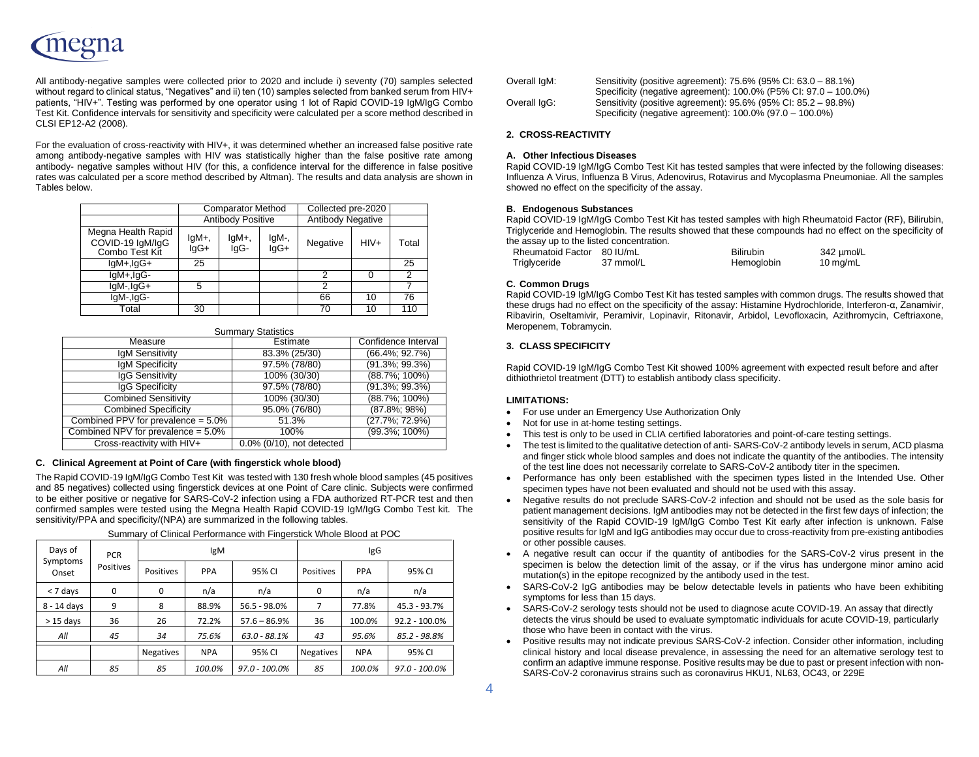All antibody-negative samples were collected prior to 2020 and include i) seventy (70) samples selected without regard to clinical status, "Negatives" and ii) ten (10) samples selected from banked serum from HIV+ patients, "HIV+". Testing was performed by one operator using 1 lot of Rapid COVID-19 IgM/IgG Combo Test Kit. Confidence intervals for sensitivity and specificity were calculated per a score method described in CLSI EP12-A2 (2008).

For the evaluation of cross-reactivity with HIV+, it was determined whether an increased false positive rate among antibody-negative samples with HIV was statistically higher than the false positive rate among antibody- negative samples without HIV (for this, a confidence interval for the difference in false positive rates was calculated per a score method described by Altman). The results and data analysis are shown in Tables below.

|                                                          | <b>Comparator Method</b> |                  |               | Collected pre-2020       |        |       |
|----------------------------------------------------------|--------------------------|------------------|---------------|--------------------------|--------|-------|
|                                                          | <b>Antibody Positive</b> |                  |               | <b>Antibody Negative</b> |        |       |
| Megna Health Rapid<br>COVID-19 IgM/IgG<br>Combo Test Kit | $lgM+$ ,<br>$IqG+$       | $lgM+$ ,<br>IgG- | IgM-,<br>lgG+ | Negative                 | $HIV+$ | Total |
| $lgM+,lgG+$                                              | 25                       |                  |               |                          |        | 25    |
| IgM+,IgG-                                                |                          |                  |               | າ                        |        | 2     |
| lgM-,IgG+                                                | 5                        |                  |               | っ                        |        |       |
| IgM-, IgG-                                               |                          |                  |               | 66                       | 10     | 76    |
| Total                                                    | 30                       |                  |               | 70                       | 10     | 110   |

| <b>Summary Statistics</b>             |                           |                     |  |  |  |
|---------------------------------------|---------------------------|---------------------|--|--|--|
| Measure                               | Estimate                  | Confidence Interval |  |  |  |
| <b>IgM Sensitivity</b>                | 83.3% (25/30)             | $(66.4\%; 92.7\%)$  |  |  |  |
| <b>IgM Specificity</b>                | 97.5% (78/80)             | $(91.3\%; 99.3\%)$  |  |  |  |
| IqG Sensitivity                       | 100% (30/30)              | $(88.7\%; 100\%)$   |  |  |  |
| IqG Specificity                       | 97.5% (78/80)             | $(91.3\%; 99.3\%)$  |  |  |  |
| <b>Combined Sensitivity</b>           | 100% (30/30)              | $(88.7\%; 100\%)$   |  |  |  |
| <b>Combined Specificity</b>           | 95.0% (76/80)             | $(87.8\%; 98\%)$    |  |  |  |
| Combined PPV for prevalence $= 5.0\%$ | 51.3%                     | $(27.7\%; 72.9\%)$  |  |  |  |
| Combined NPV for prevalence $= 5.0\%$ | 100%                      | $(99.3\%; 100\%)$   |  |  |  |
| Cross-reactivity with HIV+            | 0.0% (0/10), not detected |                     |  |  |  |

## **C. Clinical Agreement at Point of Care (with fingerstick whole blood)**

The Rapid COVID-19 IgM/IgG Combo Test Kit was tested with 130 fresh whole blood samples (45 positives and 85 negatives) collected using fingerstick devices at one Point of Care clinic. Subjects were confirmed to be either positive or negative for SARS-CoV-2 infection using a FDA authorized RT-PCR test and then confirmed samples were tested using the Megna Health Rapid COVID-19 IgM/IgG Combo Test kit. The sensitivity/PPA and specificity/(NPA) are summarized in the following tables.

| Days of<br>Symptoms<br>Onset | <b>PCR</b><br>Positives | <b>IgM</b>       |            |                  | IgG              |            |                  |
|------------------------------|-------------------------|------------------|------------|------------------|------------------|------------|------------------|
|                              |                         | Positives        | PPA        | 95% CI           | Positives        | PPA        | 95% CI           |
| < 7 days                     | 0                       | 0                | n/a        | n/a              | 0                | n/a        | n/a              |
| 8 - 14 days                  | 9                       | 8                | 88.9%      | $56.5 - 98.0\%$  |                  | 77.8%      | 45.3 - 93.7%     |
| $>15$ days                   | 36                      | 26               | 72.2%      | $57.6 - 86.9%$   | 36               | 100.0%     | $92.2 - 100.0\%$ |
| All                          | 45                      | 34               | 75.6%      | $63.0 - 88.1%$   | 43               | 95.6%      | 85.2 - 98.8%     |
|                              |                         | <b>Negatives</b> | <b>NPA</b> | 95% CI           | <b>Negatives</b> | <b>NPA</b> | 95% CI           |
| All                          | 85                      | 85               | 100.0%     | $97.0 - 100.0\%$ | 85               | 100.0%     | $97.0 - 100.0\%$ |

Summary of Clinical Performance with Fingerstick Whole Blood at POC

| Overall IgM: | Sensitivity (positive agreement): 75.6% (95% CI: 63.0 – 88.1%)   |
|--------------|------------------------------------------------------------------|
|              | Specificity (negative agreement): 100.0% (P5% CI: 97.0 – 100.0%) |
| Overall IgG: | Sensitivity (positive agreement): 95.6% (95% CI: 85.2 – 98.8%)   |
|              | Specificity (negative agreement): 100.0% (97.0 - 100.0%)         |

## **2. CROSS-REACTIVITY**

## **A. Other Infectious Diseases**

Rapid COVID-19 IgM/IgG Combo Test Kit has tested samples that were infected by the following diseases: Influenza A Virus, Influenza B Virus, Adenovirus, Rotavirus and Mycoplasma Pneumoniae. All the samples showed no effect on the specificity of the assay.

## **B. Endogenous Substances**

Rapid COVID-19 IgM/IgG Combo Test Kit has tested samples with high Rheumatoid Factor (RF), Bilirubin, Triglyceride and Hemoglobin. The results showed that these compounds had no effect on the specificity of the assay up to the listed concentration.

| Rheumatoid Factor 80 IU/mL |           | <b>Bilirubin</b> | 342 umol/L |
|----------------------------|-----------|------------------|------------|
| Triglyceride               | 37 mmol/L | Hemoglobin       | 10 mg/mL   |

## **C. Common Drugs**

Rapid COVID-19 IgM/IgG Combo Test Kit has tested samples with common drugs. The results showed that these drugs had no effect on the specificity of the assay: Histamine Hydrochloride, Interferon-α, Zanamivir, Ribavirin, Oseltamivir, Peramivir, Lopinavir, Ritonavir, Arbidol, Levofloxacin, Azithromycin, Ceftriaxone, Meropenem, Tobramycin.

## **3. CLASS SPECIFICITY**

Rapid COVID-19 IgM/IgG Combo Test Kit showed 100% agreement with expected result before and after dithiothrietol treatment (DTT) to establish antibody class specificity.

## **LIMITATIONS:**

- For use under an Emergency Use Authorization Only
- Not for use in at-home testing settings.
- This test is only to be used in CLIA certified laboratories and point-of-care testing settings.
- The test is limited to the qualitative detection of anti- SARS-CoV-2 antibody levels in serum, ACD plasma and finger stick whole blood samples and does not indicate the quantity of the antibodies. The intensity of the test line does not necessarily correlate to SARS-CoV-2 antibody titer in the specimen.
- Performance has only been established with the specimen types listed in the Intended Use. Other specimen types have not been evaluated and should not be used with this assay.
- Negative results do not preclude SARS-CoV-2 infection and should not be used as the sole basis for patient management decisions. IgM antibodies may not be detected in the first few days of infection; the sensitivity of the Rapid COVID-19 IgM/IgG Combo Test Kit early after infection is unknown. False positive results for IgM and IgG antibodies may occur due to cross-reactivity from pre-existing antibodies or other possible causes.
- A negative result can occur if the quantity of antibodies for the SARS-CoV-2 virus present in the specimen is below the detection limit of the assay, or if the virus has undergone minor amino acid mutation(s) in the epitope recognized by the antibody used in the test.
- SARS-CoV-2 IgG antibodies may be below detectable levels in patients who have been exhibiting symptoms for less than 15 days.
- SARS-CoV-2 serology tests should not be used to diagnose acute COVID-19. An assay that directly detects the virus should be used to evaluate symptomatic individuals for acute COVID-19, particularly those who have been in contact with the virus.
- Positive results may not indicate previous SARS-CoV-2 infection. Consider other information, including clinical history and local disease prevalence, in assessing the need for an alternative serology test to confirm an adaptive immune response. Positive results may be due to past or present infection with non-SARS-CoV-2 coronavirus strains such as coronavirus HKU1, NL63, OC43, or 229E